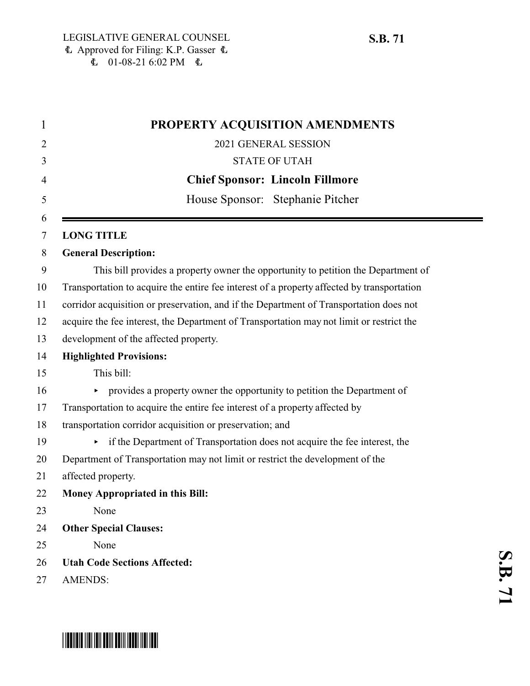| PROPERTY ACQUISITION AMENDMENTS                                                            |
|--------------------------------------------------------------------------------------------|
| 2021 GENERAL SESSION                                                                       |
| <b>STATE OF UTAH</b>                                                                       |
| <b>Chief Sponsor: Lincoln Fillmore</b>                                                     |
| House Sponsor: Stephanie Pitcher                                                           |
|                                                                                            |
| <b>LONG TITLE</b>                                                                          |
| <b>General Description:</b>                                                                |
| This bill provides a property owner the opportunity to petition the Department of          |
| Transportation to acquire the entire fee interest of a property affected by transportation |
| corridor acquisition or preservation, and if the Department of Transportation does not     |
| acquire the fee interest, the Department of Transportation may not limit or restrict the   |
| development of the affected property.                                                      |
| <b>Highlighted Provisions:</b>                                                             |
| This bill:                                                                                 |
| • provides a property owner the opportunity to petition the Department of                  |
| Transportation to acquire the entire fee interest of a property affected by                |
| transportation corridor acquisition or preservation; and                                   |
| if the Department of Transportation does not acquire the fee interest, the                 |
| Department of Transportation may not limit or restrict the development of the              |
| affected property.                                                                         |
| <b>Money Appropriated in this Bill:</b>                                                    |
| None                                                                                       |
| <b>Other Special Clauses:</b>                                                              |
| None                                                                                       |
| <b>Utah Code Sections Affected:</b>                                                        |
| <b>AMENDS:</b>                                                                             |